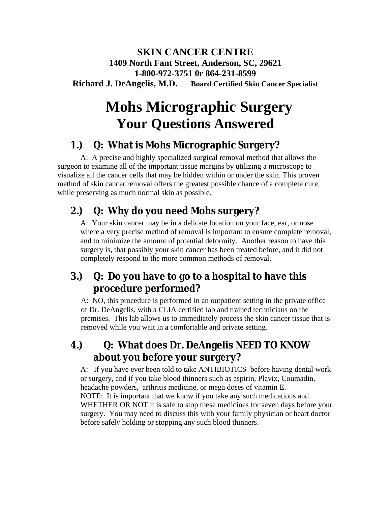#### **SKIN CANCER CENTRE 1409 North Fant Street, Anderson, SC, 29621 1-800-972-3751 0r 864-231-8599 Richard J. DeAngelis, M.D. Board Certified Skin Cancer Specialist**

# **Mohs Micrographic Surgery Your Questions Answered**

### **1.) Q: What is Mohs Micrographic Surgery?**

 A: A precise and highly specialized surgical removal method that allows the surgeon to examine all of the important tissue margins by utilizing a microscope to visualize all the cancer cells that may be hidden within or under the skin. This proven method of skin cancer removal offers the greatest possible chance of a complete cure, while preserving as much normal skin as possible.

## **2.) Q: Why do you need Mohs surgery?**

A: Your skin cancer may be in a delicate location on your face, ear, or nose where a very precise method of removal is important to ensure complete removal, and to minimize the amount of potential deformity. Another reason to have this surgery is, that possibly your skin cancer has been treated before, and it did not completely respond to the more common methods of removal.

### **3.) Q: Do you have to go to a hospital to have this procedure performed?**

A: NO, this procedure is performed in an outpatient setting in the private office of Dr. DeAngelis, with a CLIA certified lab and trained technicians on the premises. This lab allows us to immediately process the skin cancer tissue that is removed while you wait in a comfortable and private setting.

### **4.) Q: What does Dr. DeAngelis NEED TO KNOW about you before your surgery?**

A: If you have ever been told to take ANTIBIOTICS before having dental work or surgery, and if you take blood thinners such as aspirin, Plavix, Coumadin, headache powders, arthritis medicine, or mega doses of vitamin E. NOTE: It is important that we know if you take any such medications and WHETHER OR NOT it is safe to stop these medicines for seven days before your surgery. You may need to discuss this with your family physician or heart doctor before safely holding or stopping any such blood thinners.